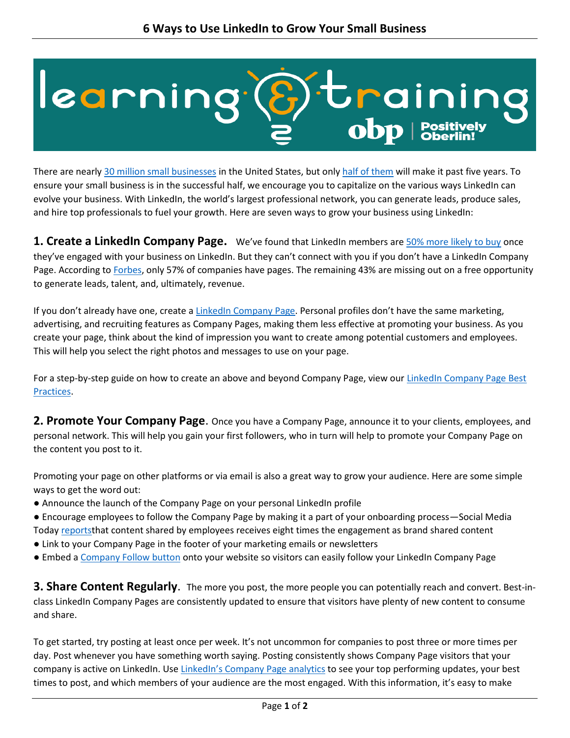## learning<sup>.</sup> Bitrainin

There are nearly 30 million small businesses in the United States, but only half of them will make it past five years. To ensure your small business is in the successful half, we encourage you to capitalize on the various ways LinkedIn can evolve your business. With LinkedIn, the world's largest professional network, you can generate leads, produce sales, and hire top professionals to fuel your growth. Here are seven ways to grow your business using LinkedIn:

**1. Create a LinkedIn Company Page.** We've found that LinkedIn members are 50% more likely to buy once they've engaged with your business on LinkedIn. But they can't connect with you if you don't have a LinkedIn Company Page. According to Forbes, only 57% of companies have pages. The remaining 43% are missing out on a free opportunity to generate leads, talent, and, ultimately, revenue.

If you don't already have one, create a LinkedIn Company Page. Personal profiles don't have the same marketing, advertising, and recruiting features as Company Pages, making them less effective at promoting your business. As you create your page, think about the kind of impression you want to create among potential customers and employees. This will help you select the right photos and messages to use on your page.

For a step-by-step guide on how to create an above and beyond Company Page, view our LinkedIn Company Page Best Practices.

**2. Promote Your Company Page**. Once you have a Company Page, announce it to your clients, employees, and personal network. This will help you gain your first followers, who in turn will help to promote your Company Page on the content you post to it.

Promoting your page on other platforms or via email is also a great way to grow your audience. Here are some simple ways to get the word out:

- Announce the launch of the Company Page on your personal LinkedIn profile
- Encourage employees to follow the Company Page by making it a part of your onboarding process—Social Media Today reportsthat content shared by employees receives eight times the engagement as brand shared content
- Link to your Company Page in the footer of your marketing emails or newsletters
- Embed a Company Follow button onto your website so visitors can easily follow your LinkedIn Company Page

**3. Share Content Regularly**. The more you post, the more people you can potentially reach and convert. Best-inclass LinkedIn Company Pages are consistently updated to ensure that visitors have plenty of new content to consume and share.

To get started, try posting at least once per week. It's not uncommon for companies to post three or more times per day. Post whenever you have something worth saying. Posting consistently shows Company Page visitors that your company is active on LinkedIn. Use LinkedIn's Company Page analytics to see your top performing updates, your best times to post, and which members of your audience are the most engaged. With this information, it's easy to make